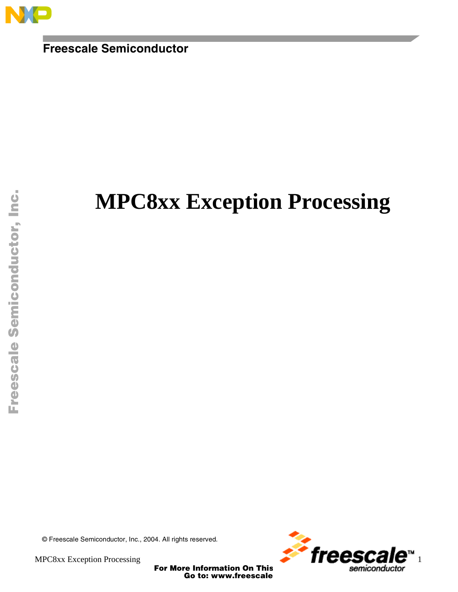

**Freescale Semiconductor**

# **MPC8xx Exception Processing**

Fr  $\boldsymbol{\Phi}$  $\bf \Phi$  $\boldsymbol{\eta}$  $\mathbf 0$ ale  $\boldsymbol{g}$  $\bf \Phi$ mic o n d u  $\mathbf 0$ t o r, I n .<br>ق

© Freescale Semiconductor, Inc., 2004. All rights reserved.



For More Information On This<br>Go to: www.freescale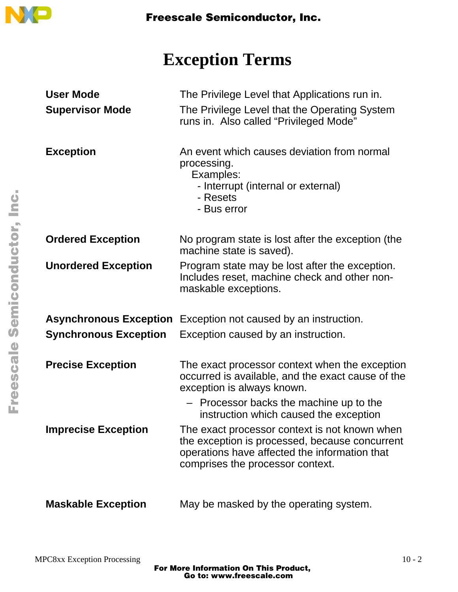

# **Exception Terms**

| <b>User Mode</b>             | The Privilege Level that Applications run in.                                                                                                                                        |
|------------------------------|--------------------------------------------------------------------------------------------------------------------------------------------------------------------------------------|
| <b>Supervisor Mode</b>       | The Privilege Level that the Operating System<br>runs in. Also called "Privileged Mode"                                                                                              |
| <b>Exception</b>             | An event which causes deviation from normal<br>processing.<br>Examples:<br>- Interrupt (internal or external)<br>- Resets<br>- Bus error                                             |
| <b>Ordered Exception</b>     | No program state is lost after the exception (the<br>machine state is saved).                                                                                                        |
| <b>Unordered Exception</b>   | Program state may be lost after the exception.<br>Includes reset, machine check and other non-<br>maskable exceptions.                                                               |
|                              | <b>Asynchronous Exception</b> Exception not caused by an instruction.                                                                                                                |
| <b>Synchronous Exception</b> | Exception caused by an instruction.                                                                                                                                                  |
| <b>Precise Exception</b>     | The exact processor context when the exception<br>occurred is available, and the exact cause of the<br>exception is always known.                                                    |
|                              | - Processor backs the machine up to the<br>instruction which caused the exception                                                                                                    |
| <b>Imprecise Exception</b>   | The exact processor context is not known when<br>the exception is processed, because concurrent<br>operations have affected the information that<br>comprises the processor context. |
| <b>Maskable Exception</b>    | May be masked by the operating system.                                                                                                                                               |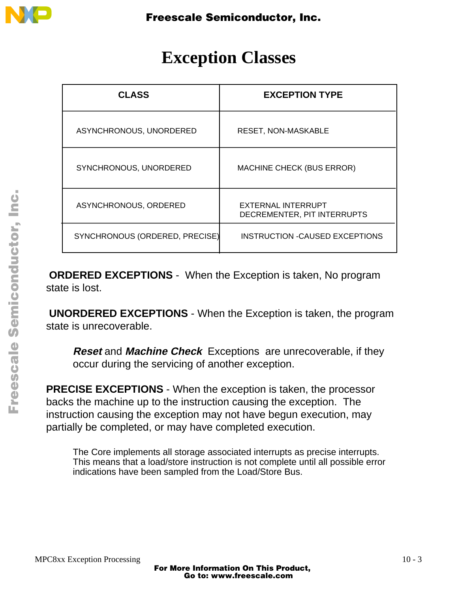

## **Exception Classes**

| <b>CLASS</b>                   | <b>EXCEPTION TYPE</b>                             |
|--------------------------------|---------------------------------------------------|
| ASYNCHRONOUS, UNORDERED        | <b>RESET, NON-MASKABLE</b>                        |
| SYNCHRONOUS, UNORDERED         | <b>MACHINE CHECK (BUS ERROR)</b>                  |
| ASYNCHRONOUS, ORDERED          | EXTERNAL INTERRUPT<br>DECREMENTER, PIT INTERRUPTS |
| SYNCHRONOUS (ORDERED, PRECISE) | <b>INSTRUCTION -CAUSED EXCEPTIONS</b>             |

**ORDERED EXCEPTIONS** - When the Exception is taken, No program state is lost.

**UNORDERED EXCEPTIONS** - When the Exception is taken, the program state is unrecoverable.

**Reset** and **Machine Check** Exceptions are unrecoverable, if they occur during the servicing of another exception.

**PRECISE EXCEPTIONS** - When the exception is taken, the processor backs the machine up to the instruction causing the exception. The instruction causing the exception may not have begun execution, may partially be completed, or may have completed execution.

The Core implements all storage associated interrupts as precise interrupts. This means that a load/store instruction is not complete until all possible error indications have been sampled from the Load/Store Bus.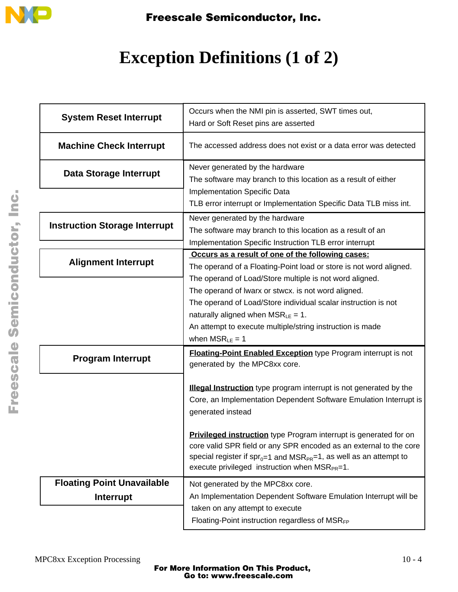

# **Exception Definitions (1 of 2)**

| <b>System Reset Interrupt</b>        | Occurs when the NMI pin is asserted, SWT times out,<br>Hard or Soft Reset pins are asserted                                                                                                                                                                                                |
|--------------------------------------|--------------------------------------------------------------------------------------------------------------------------------------------------------------------------------------------------------------------------------------------------------------------------------------------|
| <b>Machine Check Interrupt</b>       | The accessed address does not exist or a data error was detected                                                                                                                                                                                                                           |
| Data Storage Interrupt               | Never generated by the hardware<br>The software may branch to this location as a result of either<br><b>Implementation Specific Data</b>                                                                                                                                                   |
|                                      | TLB error interrupt or Implementation Specific Data TLB miss int.                                                                                                                                                                                                                          |
| <b>Instruction Storage Interrupt</b> | Never generated by the hardware<br>The software may branch to this location as a result of an<br>Implementation Specific Instruction TLB error interrupt                                                                                                                                   |
| <b>Alignment Interrupt</b>           | Occurs as a result of one of the following cases:                                                                                                                                                                                                                                          |
|                                      | The operand of a Floating-Point load or store is not word aligned.<br>The operand of Load/Store multiple is not word aligned.                                                                                                                                                              |
|                                      | The operand of Iwarx or stwcx. is not word aligned.<br>The operand of Load/Store individual scalar instruction is not<br>naturally aligned when $MSR_{LE} = 1$ .<br>An attempt to execute multiple/string instruction is made<br>when $MSR_{LE} = 1$                                       |
| <b>Program Interrupt</b>             | <b>Floating-Point Enabled Exception type Program interrupt is not</b><br>generated by the MPC8xx core.                                                                                                                                                                                     |
|                                      | Illegal Instruction type program interrupt is not generated by the<br>Core, an Implementation Dependent Software Emulation Interrupt is<br>generated instead                                                                                                                               |
|                                      | <b>Privileged instruction</b> type Program interrupt is generated for on<br>core valid SPR field or any SPR encoded as an external to the core<br>special register if $spr_{0=1}$ and $MSR_{PR}=1$ , as well as an attempt to<br>execute privileged instruction when MSR <sub>PR</sub> =1. |
| <b>Floating Point Unavailable</b>    | Not generated by the MPC8xx core.                                                                                                                                                                                                                                                          |
| Interrupt                            | An Implementation Dependent Software Emulation Interrupt will be<br>taken on any attempt to execute                                                                                                                                                                                        |
|                                      | Floating-Point instruction regardless of MSRFP                                                                                                                                                                                                                                             |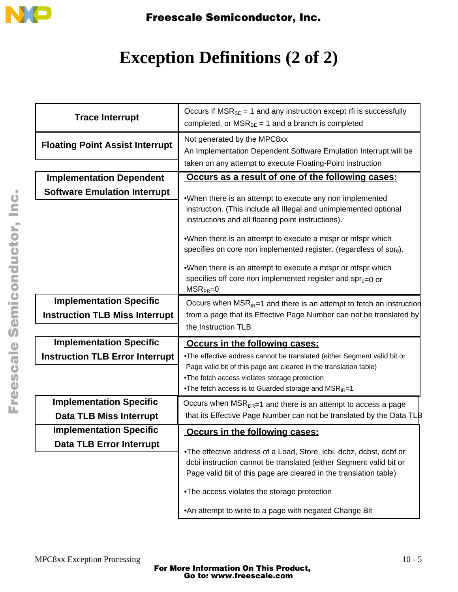

# **Exception Definitions (2 of 2)**

| <b>Trace Interrupt</b>                 | Occurs If $MSR_{SE} = 1$ and any instruction except rfi is successfully<br>completed, or $MSR_{BE} = 1$ and a branch is completed                                                                              |
|----------------------------------------|----------------------------------------------------------------------------------------------------------------------------------------------------------------------------------------------------------------|
| <b>Floating Point Assist Interrupt</b> | Not generated by the MPC8xx<br>An Implementation Dependent Software Emulation Interrupt will be<br>taken on any attempt to execute Floating-Point instruction                                                  |
| <b>Implementation Dependent</b>        | Occurs as a result of one of the following cases:                                                                                                                                                              |
| <b>Software Emulation Interrupt</b>    | .When there is an attempt to execute any non implemented                                                                                                                                                       |
|                                        | instruction. (This include all Illegal and unimplemented optional<br>instructions and all floating point instructions).                                                                                        |
|                                        | .When there is an attempt to execute a mtspr or mfspr which<br>specifies on core non implemented register. (regardless of $spr0$ ).                                                                            |
|                                        | .When there is an attempt to execute a mtspr or mfspr which<br>specifies off core non implemented register and $spr0=0$ or<br>$MSR_{PR}=0$                                                                     |
| <b>Implementation Specific</b>         | Occurs when $MSR_{IR}=1$ and there is an attempt to fetch an instruction                                                                                                                                       |
| <b>Instruction TLB Miss Interrupt</b>  | from a page that its Effective Page Number can not be translated by                                                                                                                                            |
|                                        | the Instruction TLB                                                                                                                                                                                            |
| <b>Implementation Specific</b>         | Occurs in the following cases:                                                                                                                                                                                 |
| <b>Instruction TLB Error Interrupt</b> | .The effective address cannot be translated (either Segment valid bit or                                                                                                                                       |
|                                        | Page valid bit of this page are cleared in the translation table)                                                                                                                                              |
|                                        | .The fetch access violates storage protection<br>.The fetch access is to Guarded storage and MSRIR=1                                                                                                           |
| <b>Implementation Specific</b>         | Occurs when $MSR_{DR}=1$ and there is an attempt to access a page                                                                                                                                              |
| <b>Data TLB Miss Interrupt</b>         | that its Effective Page Number can not be translated by the Data TLB                                                                                                                                           |
| <b>Implementation Specific</b>         | Occurs in the following cases:                                                                                                                                                                                 |
| <b>Data TLB Error Interrupt</b>        |                                                                                                                                                                                                                |
|                                        | .The effective address of a Load, Store, icbi, dcbz, dcbst, dcbf or<br>dcbi instruction cannot be translated (either Segment valid bit or<br>Page valid bit of this page are cleared in the translation table) |
|                                        | .The access violates the storage protection                                                                                                                                                                    |
|                                        | .An attempt to write to a page with negated Change Bit                                                                                                                                                         |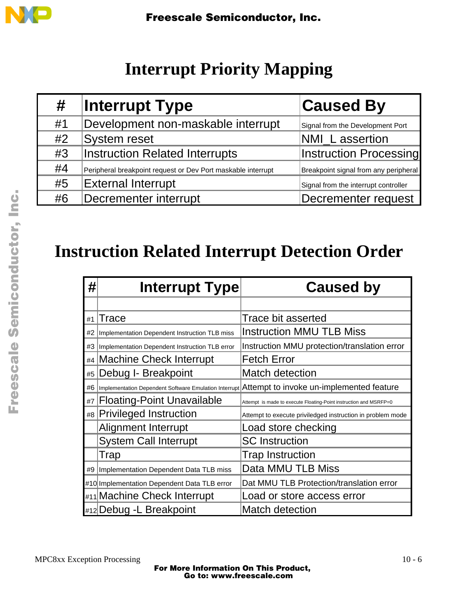

# **Interrupt Priority Mapping**

| #  | <b>Interrupt Type</b>                                        | <b>Caused By</b>                      |
|----|--------------------------------------------------------------|---------------------------------------|
| #1 | Development non-maskable interrupt                           | Signal from the Development Port      |
| #2 | System reset                                                 | NMI_L assertion                       |
| #3 | <b>Instruction Related Interrupts</b>                        | <b>Instruction Processing</b>         |
| #4 | Peripheral breakpoint request or Dev Port maskable interrupt | Breakpoint signal from any peripheral |
| #5 | <b>External Interrupt</b>                                    | Signal from the interrupt controller  |
| #6 | Decrementer interrupt                                        | Decrementer request                   |

# **Instruction Related Interrupt Detection Order**

| #  | <b>Interrupt Type</b>                          | <b>Caused by</b>                                                                               |
|----|------------------------------------------------|------------------------------------------------------------------------------------------------|
|    |                                                |                                                                                                |
| #1 | Trace                                          | Trace bit asserted                                                                             |
| #2 | Implementation Dependent Instruction TLB miss  | <b>Instruction MMU TLB Miss</b>                                                                |
| #3 | Implementation Dependent Instruction TLB error | Instruction MMU protection/translation error                                                   |
|    | #4 Machine Check Interrupt                     | <b>Fetch Error</b>                                                                             |
| #5 | Debug I- Breakpoint                            | <b>Match detection</b>                                                                         |
| #6 |                                                | Implementation Dependent Software Emulation Interrupt Attempt to invoke un-implemented feature |
| #7 | <b>Floating-Point Unavailable</b>              | Attempt is made to execute Floating-Point instruction and MSRFP=0                              |
|    | #8 Privileged Instruction                      | Attempt to execute priviledged instruction in problem mode                                     |
|    | <b>Alignment Interrupt</b>                     | Load store checking                                                                            |
|    | <b>System Call Interrupt</b>                   | <b>SC</b> Instruction                                                                          |
|    | Trap                                           | <b>Trap Instruction</b>                                                                        |
|    | #9   Implementation Dependent Data TLB miss    | Data MMU TLB Miss                                                                              |
|    | #10 Implementation Dependent Data TLB error    | Dat MMU TLB Protection/translation error                                                       |
|    | #11 Machine Check Interrupt                    | Load or store access error                                                                     |
|    | #12 Debug - L Breakpoint                       | Match detection                                                                                |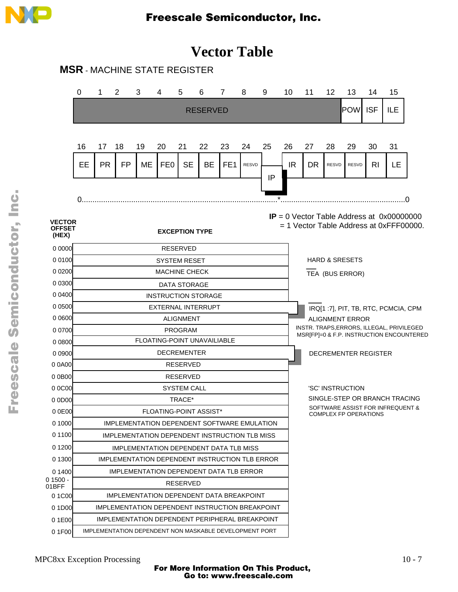

## **Vector Table**

**MSR** - MACHINE STATE REGISTER

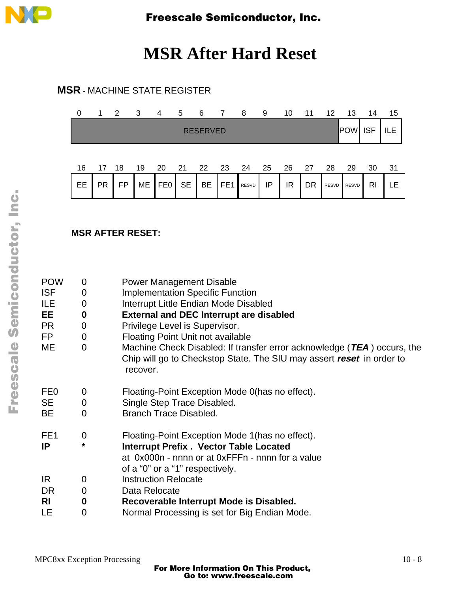

## **MSR After Hard Reset**

### **MSR** - MACHINE STATE REGISTER

| 0  | 1.              | $\overline{2}$ | $\overline{\mathbf{3}}$ | 4               | 5          | 6               | 7               | 8     | 9  | 10 | 11 | -12          | 13         | 14         | 15  |
|----|-----------------|----------------|-------------------------|-----------------|------------|-----------------|-----------------|-------|----|----|----|--------------|------------|------------|-----|
|    |                 |                |                         |                 |            | <b>RESERVED</b> |                 |       |    |    |    |              | <b>POW</b> | <b>ISF</b> | ILE |
| 16 | 17 <sup>2</sup> | - 18           | 19                      | 20              | 21  22  23 |                 |                 | 24    | 25 | 26 | 27 | 28           | 29         | 30         | -31 |
| EE | <b>PR</b>       | FP             | ME                      | FE <sub>0</sub> | <b>SE</b>  | BE              | FE <sub>1</sub> | RESVD | IP | IR | DR | <b>RESVD</b> | RESVD      | <b>RI</b>  |     |

### **MSR AFTER RESET:**

| <b>POW</b>      | 0                | <b>Power Management Disable</b>                                                                                                                              |
|-----------------|------------------|--------------------------------------------------------------------------------------------------------------------------------------------------------------|
| <b>ISF</b>      | 0                | <b>Implementation Specific Function</b>                                                                                                                      |
| ILE             | 0                | Interrupt Little Endian Mode Disabled                                                                                                                        |
| EE.             | $\boldsymbol{0}$ | <b>External and DEC Interrupt are disabled</b>                                                                                                               |
| <b>PR</b>       | 0                | Privilege Level is Supervisor.                                                                                                                               |
| FP              | $\overline{0}$   | <b>Floating Point Unit not available</b>                                                                                                                     |
| ME              | $\Omega$         | Machine Check Disabled: If transfer error acknowledge (TEA) occurs, the<br>Chip will go to Checkstop State. The SIU may assert reset in order to<br>recover. |
| FE <sub>0</sub> | 0                | Floating-Point Exception Mode 0(has no effect).                                                                                                              |
| <b>SE</b>       | $\overline{0}$   | Single Step Trace Disabled.                                                                                                                                  |
| <b>BE</b>       | $\Omega$         | <b>Branch Trace Disabled.</b>                                                                                                                                |
| FE <sub>1</sub> | 0                | Floating-Point Exception Mode 1 (has no effect).                                                                                                             |
| IP              | *                | <b>Interrupt Prefix. Vector Table Located</b>                                                                                                                |
|                 |                  | at 0x000n - nnnn or at 0xFFFn - nnnn for a value<br>of a "0" or a "1" respectively.                                                                          |
| IR.             | 0                | <b>Instruction Relocate</b>                                                                                                                                  |
| DR              | 0                | Data Relocate                                                                                                                                                |
| <b>RI</b>       | $\boldsymbol{0}$ | Recoverable Interrupt Mode is Disabled.                                                                                                                      |
| LE              | 0                | Normal Processing is set for Big Endian Mode.                                                                                                                |
|                 |                  |                                                                                                                                                              |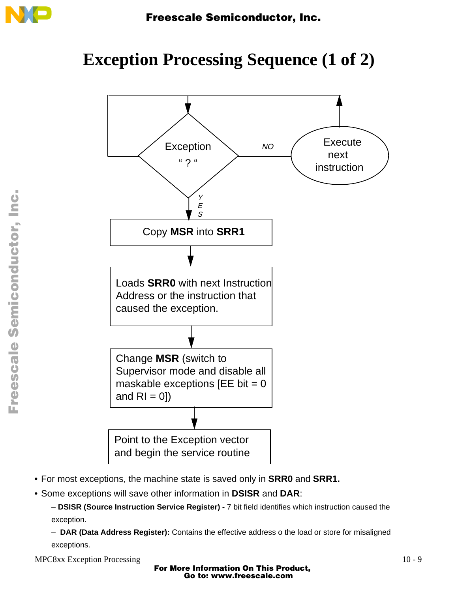

## **Exception Processing Sequence (1 of 2)**



- For most exceptions, the machine state is saved only in **SRR0** and **SRR1.**
- Some exceptions will save other information in **DSISR** and **DAR**:
	- **DSISR (Source Instruction Service Register)** 7 bit field identifies which instruction caused the exception.

– **DAR (Data Address Register):** Contains the effective address o the load or store for misaligned exceptions.

MPC8xx Exception Processing 10 - 9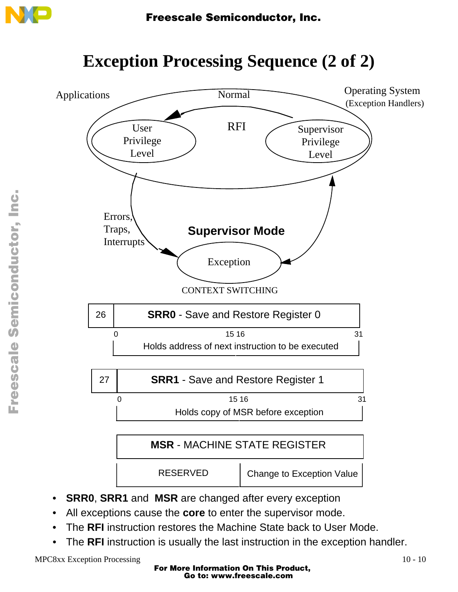

# **Exception Processing Sequence (2 of 2)**

![](_page_9_Figure_3.jpeg)

- All exceptions cause the **core** to enter the supervisor mode.
- The **RFI** instruction restores the Machine State back to User Mode.
- The **RFI** instruction is usually the last instruction in the exception handler.

MPC8xx Exception Processing 10 - 10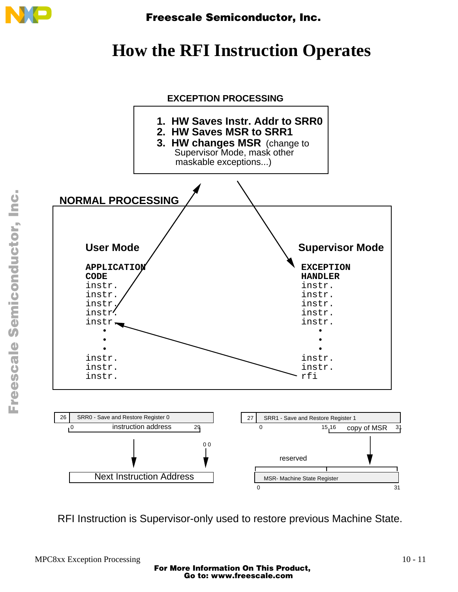![](_page_10_Picture_0.jpeg)

# **How the RFI Instruction Operates**

![](_page_10_Figure_3.jpeg)

RFI Instruction is Supervisor-only used to restore previous Machine State.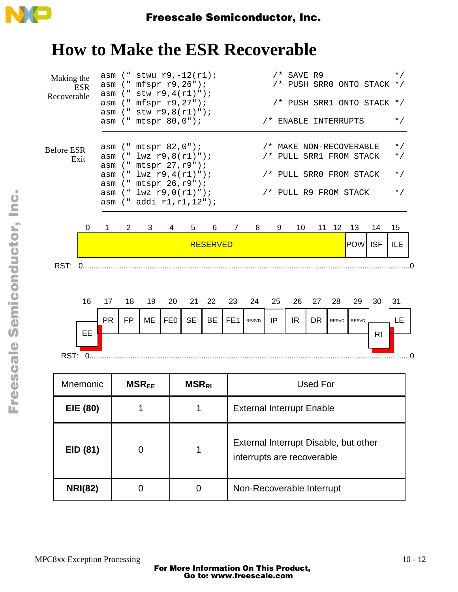![](_page_11_Picture_0.jpeg)

# **How to Make the ESR Recoverable**

| Making the<br><b>ESR</b><br>Recoverable<br><b>Before ESR</b><br>Exit | asm<br>asm<br>asm<br>asm<br>asm                                               |                |                         |                 | asm $("stwu r9, -12(r1);$<br>("mfspr r9, 26");<br>$asm$ (" stw r9, 4(r1)");<br>("mfspr r9,27");<br>$("$ stw $r9, 8(r1)")$ ;<br>asm (" mtspr 80,0");<br>asm (" mtspr 82,0");<br>asm (" lwz r9,8(r1)");<br>(" mtspr 27, r9");<br>(' ' lwz r9, 4(r1) ');<br>asm (" mtspr 26, r9"); |                 |                                                                     | $\star$ /<br>$/*$ SAVE R9<br>/* PUSH SRR0 ONTO STACK $*/$<br>/* PUSH SRR1 ONTO STACK */<br>$\star$ /<br>/* ENABLE INTERRUPTS<br>$\star$ /<br>/* MAKE NON-RECOVERABLE<br>/* PULL SRR1 FROM STACK<br>$\star$ /<br>$\star$ /<br>/* PULL SRR0 FROM STACK |           |     |                 |                 |            |                |     |  |
|----------------------------------------------------------------------|-------------------------------------------------------------------------------|----------------|-------------------------|-----------------|---------------------------------------------------------------------------------------------------------------------------------------------------------------------------------------------------------------------------------------------------------------------------------|-----------------|---------------------------------------------------------------------|------------------------------------------------------------------------------------------------------------------------------------------------------------------------------------------------------------------------------------------------------|-----------|-----|-----------------|-----------------|------------|----------------|-----|--|
|                                                                      | asm $("lwz r9,0(r1)");$<br>/* PULL R9 FROM STACK<br>asm (" addi r1, r1, 12"); |                |                         |                 |                                                                                                                                                                                                                                                                                 |                 |                                                                     |                                                                                                                                                                                                                                                      | $\star$ / |     |                 |                 |            |                |     |  |
| 0                                                                    | 1                                                                             | $\overline{2}$ | 3                       | 4               | 5                                                                                                                                                                                                                                                                               | 6               | 7                                                                   | 8                                                                                                                                                                                                                                                    | 9         | 10  | 11              | 12 <sup>2</sup> | 13         | 14             | 15  |  |
|                                                                      |                                                                               |                |                         |                 |                                                                                                                                                                                                                                                                                 | <b>RESERVED</b> |                                                                     |                                                                                                                                                                                                                                                      |           |     |                 |                 | <b>POW</b> | <b>ISF</b>     | ILE |  |
| RST: 0                                                               |                                                                               |                |                         |                 |                                                                                                                                                                                                                                                                                 |                 |                                                                     |                                                                                                                                                                                                                                                      |           |     |                 |                 |            |                |     |  |
|                                                                      |                                                                               |                |                         |                 |                                                                                                                                                                                                                                                                                 |                 |                                                                     |                                                                                                                                                                                                                                                      |           |     |                 |                 |            |                |     |  |
| 16                                                                   | 17                                                                            | 18             | 19                      | 20              | 21                                                                                                                                                                                                                                                                              | 22              | 23                                                                  | 24                                                                                                                                                                                                                                                   | 25        | 26  | 27              | 28              | 29         | 30             | 31  |  |
|                                                                      | <b>PR</b>                                                                     | <b>FP</b>      | ME                      | FE <sub>0</sub> | <b>SE</b>                                                                                                                                                                                                                                                                       | <b>BE</b>       | FE <sub>1</sub>                                                     | RESVD                                                                                                                                                                                                                                                | IP        | IR. | <b>DR</b>       | <b>RESVD</b>    | RESVD      |                | LE  |  |
| EE                                                                   |                                                                               |                |                         |                 |                                                                                                                                                                                                                                                                                 |                 |                                                                     |                                                                                                                                                                                                                                                      |           |     |                 |                 |            | R <sub>l</sub> |     |  |
| RST: 0                                                               |                                                                               |                |                         |                 |                                                                                                                                                                                                                                                                                 |                 |                                                                     |                                                                                                                                                                                                                                                      |           |     |                 |                 |            |                |     |  |
| Mnemonic                                                             |                                                                               |                | <b>MSR<sub>EE</sub></b> |                 | <b>MSRRI</b>                                                                                                                                                                                                                                                                    |                 |                                                                     |                                                                                                                                                                                                                                                      |           |     | <b>Used For</b> |                 |            |                |     |  |
| EIE (80)                                                             | <b>External Interrupt Enable</b><br>1<br>1                                    |                |                         |                 |                                                                                                                                                                                                                                                                                 |                 |                                                                     |                                                                                                                                                                                                                                                      |           |     |                 |                 |            |                |     |  |
|                                                                      |                                                                               |                |                         |                 |                                                                                                                                                                                                                                                                                 |                 | External Interrupt Disable, but other<br>interrupts are recoverable |                                                                                                                                                                                                                                                      |           |     |                 |                 |            |                |     |  |
| EID (81)                                                             |                                                                               |                | $\boldsymbol{0}$        |                 | 1                                                                                                                                                                                                                                                                               |                 |                                                                     |                                                                                                                                                                                                                                                      |           |     |                 |                 |            |                |     |  |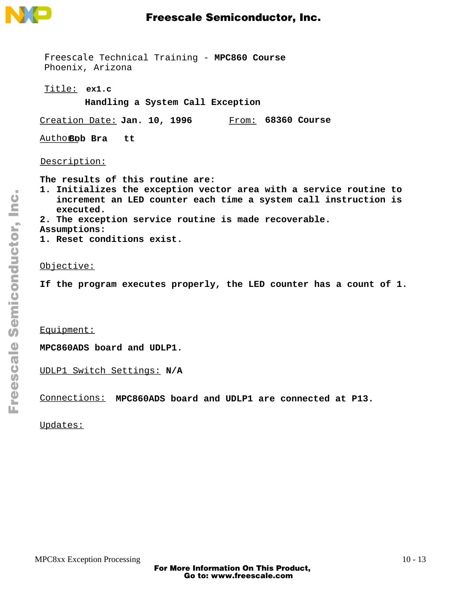![](_page_12_Picture_0.jpeg)

Freescale Technical Training - **MPC860 Course** Phoenix, Arizona

**ex1.c** Title:

**Handling a System Call Exception**

Creation Date: Jan. 10, 1996 From: 68360 Course

Author: **Bob Bra tt**

Description:

**The results of this routine are:**

- **1. Initializes the exception vector area with a service routine to increment an LED counter each time a system call instruction is executed.**
- **2. The exception service routine is made recoverable.**
- **Assumptions:**
- **1. Reset conditions exist.**

### Objective:

**If the program executes properly, the LED counter has a count of 1.**

Equipment:

**MPC860ADS board and UDLP1.**

UDLP1 Switch Settings: **N/A**

Connections: **MPC860ADS board and UDLP1 are connected at P13.**

Updates: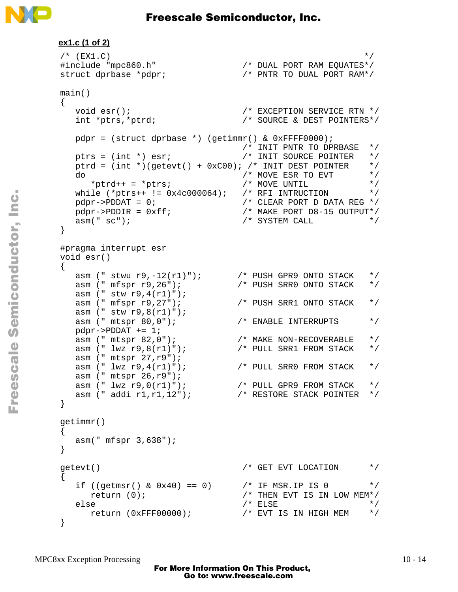![](_page_13_Picture_0.jpeg)

```
ex1.c (1 of 2)
\mathscr{L} (EX1.C) \mathscr{L}#include "mpc860.h" /* DUAL PORT RAM EQUATES*/
struct dprbase *pdpr; /* PNTR TO DUAL PORT RAM*/
main()
\{void esr();<br>int *ptrs,*ptrd; <br>\frac{1}{2} /* SOURCE & DEST POINTERS*/
  int *ptrs, *ptrd;
  pdpr = (struct dprbase *) (getimm) & 0xFFF0000); /* INIT PNTR TO DPRBASE */
 ptrs = (int *) esr; /* INIT SOURCE POINTER */
  ptrd = (int *)(getevt() + 0xC00); /* INIT DEST POINTER */ do /* MOVE ESR TO EVT */
*ptrd++ = *ptrs; /* MOVE UNTIL */
 while (*ptrs++ != 0x4c000064); /* RFI INTRUCTION */
pdpr\rightarrow PDDAT = 0; /* CLEAR PORT D DATA REG */
 pdpr->PDDIR = 0xff; /* MAKE PORT D8-15 OUTPUT*/
asm(" sc"); \star SYSTEM CALL \star /
}
#pragma interrupt esr
void esr()
{
 asm (" stwu r9,-12(r1)"); <br>
asm (" mfspr r9,26"); <br>
\frac{12r(1)}{r} /* PUSH SRR0 ONTO STACK */
 asm (" mfspr r9,26"); /* PUSH SRR0 ONTO STACK */
 asm (" stw r9,4(r1)");
 asm (" mfspr r9,27"); /* PUSH SRR1 ONTO STACK */
 asm (" stw r9,8(r1)");
asm (" mtspr 80,0"); \overline{\hspace{1cm}} /* ENABLE INTERRUPTS */
 pdpr->PDDAT += 1;
 asm (" mtspr 82,0"); /* MAKE NON-RECOVERABLE */
 asm (" lwz r9,8(r1)"); /* PULL SRR1 FROM STACK */
 asm (" mtspr 27,r9");
 asm (" lwz r9,4(r1)"); /* PULL SRR0 FROM STACK */
 asm (" mtspr 26,r9");
 asm (" lwz r9,0(r1)"); /* PULL GPR9 FROM STACK */
 asm (" addi r1,r1,12"); /* RESTORE STACK POINTER */
}
getimmr()
{
   asm(" mfspr 3,638");
}
getevt() \overline{a} /* GET EVT LOCATION \overline{a} /
{
  if ((getmsr() & 0x40) == 0) 4x + 1 x + 1 y + 1 z + 1 z + 1 z + 1return (0); /* THEN EVT IS IN LOW MEM*/
  else /* ELSE * /
      return (0xFFF00000); /* EVT IS IN HIGH MEM */
}
```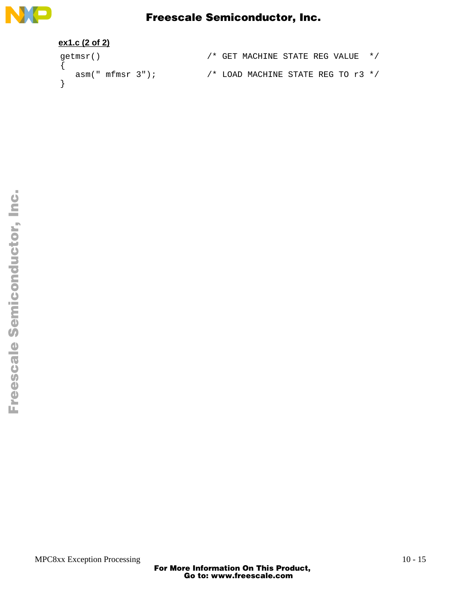![](_page_14_Picture_0.jpeg)

### **ex1.c (2 of 2)**

| qetmsr() |                 |  | /* GET MACHINE STATE REG VALUE */    |  |  |  |
|----------|-----------------|--|--------------------------------------|--|--|--|
|          | asm("mfmsr 3"); |  | /* LOAD MACHINE STATE REG TO $r3$ */ |  |  |  |
|          |                 |  |                                      |  |  |  |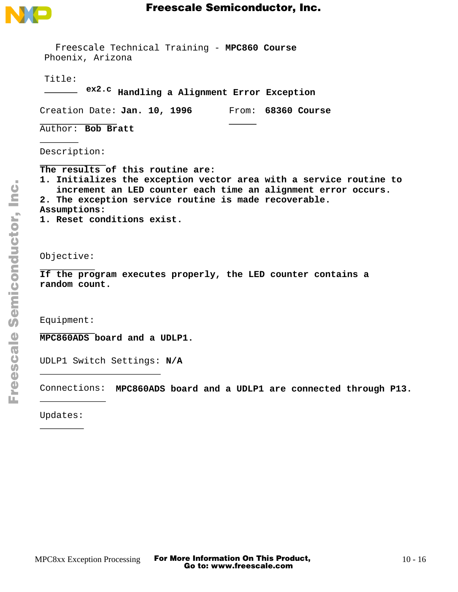![](_page_15_Picture_0.jpeg)

| Freescale Technical Training - MPC860 Course<br>Phoenix, Arizona                                                                                                                                                                                                               |
|--------------------------------------------------------------------------------------------------------------------------------------------------------------------------------------------------------------------------------------------------------------------------------|
| Title:<br>ex2.c Handling a Alignment Error Exception                                                                                                                                                                                                                           |
| Creation Date: Jan. 10, 1996<br>From: 68360 Course                                                                                                                                                                                                                             |
| Author: Bob Bratt                                                                                                                                                                                                                                                              |
| Description:                                                                                                                                                                                                                                                                   |
| The results of this routine are:<br>1. Initializes the exception vector area with a service routine to<br>increment an LED counter each time an alignment error occurs.<br>2. The exception service routine is made recoverable.<br>Assumptions:<br>1. Reset conditions exist. |
| Objective:                                                                                                                                                                                                                                                                     |
| If the program executes properly, the LED counter contains a<br>random count.                                                                                                                                                                                                  |
| Equipment:                                                                                                                                                                                                                                                                     |
| MPC860ADS board and a UDLP1.                                                                                                                                                                                                                                                   |
| UDLP1 Switch Settings: N/A                                                                                                                                                                                                                                                     |
| Connections: MPC860ADS board and a UDLP1 are connected through P13.                                                                                                                                                                                                            |
| Updates:                                                                                                                                                                                                                                                                       |
|                                                                                                                                                                                                                                                                                |
|                                                                                                                                                                                                                                                                                |
|                                                                                                                                                                                                                                                                                |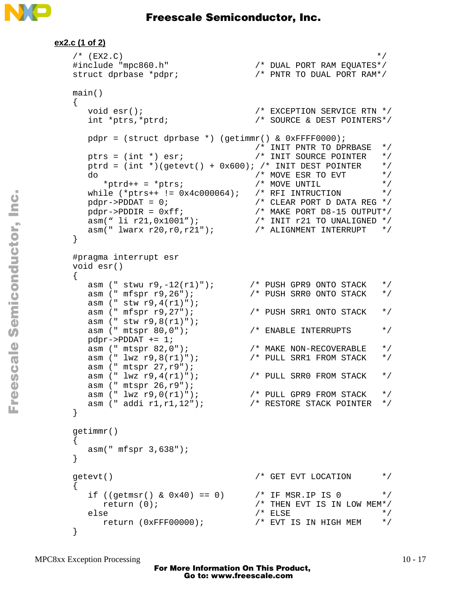![](_page_16_Picture_0.jpeg)

```
ex2.c (1 of 2)
   \sqrt{\phantom{a}} (EX2.C) \phantom{a} /
   #include "mpc860.h" /* DUAL PORT RAM EQUATES*/
   struct dprbase *pdpr; /* PNTR TO DUAL PORT RAM*/
   main()
   {
     void esr();<br>int *ptrs,*ptrd; <br>\frac{1}{2} /* EXCEPTION SERVICE RTN */<br>int *ptrs,*ptrd; <br>\frac{1}{2} /* SOURCE & DEST POINTERS*/
     int *ptrs,*ptrd;
     pdpr = (struct dprbase *) (getimmr() & 0xFFFF0000);<br>/* INIT PNTR TO DPRBASE */
    /* INIT PNTR TO DPRBASE */
   ptrs = (int *) esr; <br> /* INIT SOURCE POINTER */
     ptrd = (int *)(getevt() + 0x600); /* INIT DEST POINTER */ do /* MOVE ESR TO EVT */
   *ptrd++ = *ptrs; /* MOVE UNTIL */
    while (*ptrs++ != 0x4c000064); /* RFI INTRUCTION */
   pdpr \rightarrow PDDAT = 0; /* CLEAR PORT D DATA REG */
    pdpr->PDDIR = 0xff; /* MAKE PORT D8-15 OUTPUT*/
    asm(" li r21,0x1001"); /* INIT r21 TO UNALIGNED */
    asm(" lwarx r20,r0,r21"); /* ALIGNMENT INTERRUPT */
   }
  #pragma interrupt esr
  void esr()
  {
    asm (" stwu r9,-12(r1)"); /* PUSH GPR9 ONTO STACK */
    asm (" mfspr r9,26"); /* PUSH SRR0 ONTO STACK */
     \frac{m-1}{2} (" stw r9,4(r1)");<br>asm (" mfspr r9,27");
    asm (" mfspr r9,27"); /* PUSH SRR1 ONTO STACK */
    asm (" stw r9,8(r1)");
   asm (" mtspr 80,0"); \overline{\hspace{1cm}} /* ENABLE INTERRUPTS */
    pdpr->PDDAT += 1;
    asm (" mtspr 82,0"); /* MAKE NON-RECOVERABLE */
    asm (" lwz r9,8(r1)"); /* PULL SRR1 FROM STACK */
    asm (" mtspr 27,r9");
    \frac{1}{2} asm (" lwz r9,4(r1)"); \frac{1}{2} /* PULL SRR0 FROM STACK */
    asm (" mtspr 26,r9");
    asm (" lwz r9,0(r1)"); /* PULL GPR9 FROM STACK */
    asm (" addi r1,r1,12"); /* RESTORE STACK POINTER */
   }
   getimmr()
   {
      asm(" mfspr 3,638");
   }
   getevt() \overline{a} /* GET EVT LOCATION \overline{a} /
   {
     if ((getmsr() & 0x40) == 0) <br> \frac{*}{} THEN EVT IS IN LOW MEM*/<br> \frac{*}{} \frac{*}{}return (0);
     else /* ELSE * /
        return (0xFFF00000); /* EVT IS IN HIGH MEM */
   }
```